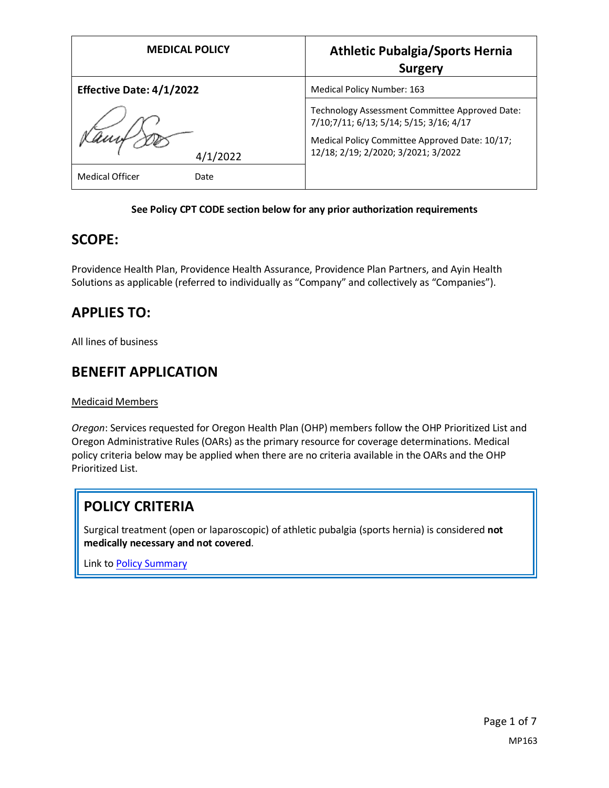| <b>MEDICAL POLICY</b>           | <b>Athletic Pubalgia/Sports Hernia</b><br><b>Surgery</b>                                                                                                                           |
|---------------------------------|------------------------------------------------------------------------------------------------------------------------------------------------------------------------------------|
| <b>Effective Date: 4/1/2022</b> | Medical Policy Number: 163                                                                                                                                                         |
| 4/1/2022                        | Technology Assessment Committee Approved Date:<br>7/10;7/11; 6/13; 5/14; 5/15; 3/16; 4/17<br>Medical Policy Committee Approved Date: 10/17;<br>12/18; 2/19; 2/2020; 3/2021; 3/2022 |
| Medical Officer<br>Date         |                                                                                                                                                                                    |

#### **See Policy CPT CODE section below for any prior authorization requirements**

### **SCOPE:**

Providence Health Plan, Providence Health Assurance, Providence Plan Partners, and Ayin Health Solutions as applicable (referred to individually as "Company" and collectively as "Companies").

## **APPLIES TO:**

All lines of business

### **BENEFIT APPLICATION**

Medicaid Members

*Oregon*: Services requested for Oregon Health Plan (OHP) members follow the OHP Prioritized List and Oregon Administrative Rules (OARs) as the primary resource for coverage determinations. Medical policy criteria below may be applied when there are no criteria available in the OARs and the OHP Prioritized List.

# **POLICY CRITERIA**

Surgical treatment (open or laparoscopic) of athletic pubalgia (sports hernia) is considered **not medically necessary and not covered**.

Link t[o Policy Summary](#page-5-0)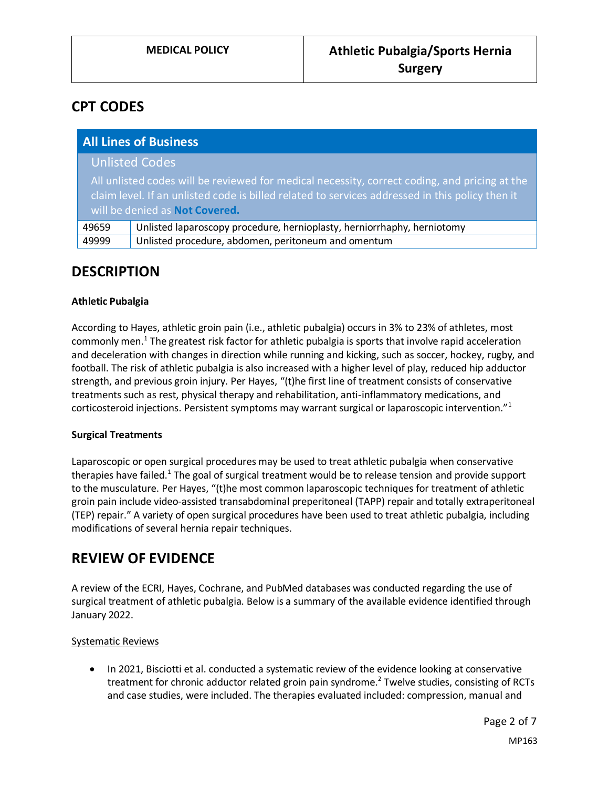## **CPT CODES**

| <b>All Lines of Business</b>                                                                                                                                                                                                       |                                                                         |
|------------------------------------------------------------------------------------------------------------------------------------------------------------------------------------------------------------------------------------|-------------------------------------------------------------------------|
|                                                                                                                                                                                                                                    | <b>Unlisted Codes</b>                                                   |
| All unlisted codes will be reviewed for medical necessity, correct coding, and pricing at the<br>claim level. If an unlisted code is billed related to services addressed in this policy then it<br>will be denied as Not Covered. |                                                                         |
| 49659                                                                                                                                                                                                                              | Unlisted laparoscopy procedure, hernioplasty, herniorrhaphy, herniotomy |
| 49999                                                                                                                                                                                                                              | Unlisted procedure, abdomen, peritoneum and omentum                     |

### **DESCRIPTION**

#### **Athletic Pubalgia**

According to Hayes, athletic groin pain (i.e., athletic pubalgia) occurs in 3% to 23% of athletes, most commonly men.<sup>1</sup> The greatest risk factor for athletic pubalgia is sports that involve rapid acceleration and deceleration with changes in direction while running and kicking, such as soccer, hockey, rugby, and football. The risk of athletic pubalgia is also increased with a higher level of play, reduced hip adductor strength, and previous groin injury. Per Hayes, "(t)he first line of treatment consists of conservative treatments such as rest, physical therapy and rehabilitation, anti-inflammatory medications, and corticosteroid injections. Persistent symptoms may warrant surgical or laparoscopic intervention."<sup>1</sup>

#### **Surgical Treatments**

Laparoscopic or open surgical procedures may be used to treat athletic pubalgia when conservative therapies have failed.<sup>1</sup> The goal of surgical treatment would be to release tension and provide support to the musculature. Per Hayes, "(t)he most common laparoscopic techniques for treatment of athletic groin pain include video-assisted transabdominal preperitoneal (TAPP) repair and totally extraperitoneal (TEP) repair." A variety of open surgical procedures have been used to treat athletic pubalgia, including modifications of several hernia repair techniques.

### **REVIEW OF EVIDENCE**

A review of the ECRI, Hayes, Cochrane, and PubMed databases was conducted regarding the use of surgical treatment of athletic pubalgia. Below is a summary of the available evidence identified through January 2022.

#### Systematic Reviews

• In 2021, Bisciotti et al. conducted a systematic review of the evidence looking at conservative treatment for chronic adductor related groin pain syndrome.<sup>2</sup> Twelve studies, consisting of RCTs and case studies, were included. The therapies evaluated included: compression, manual and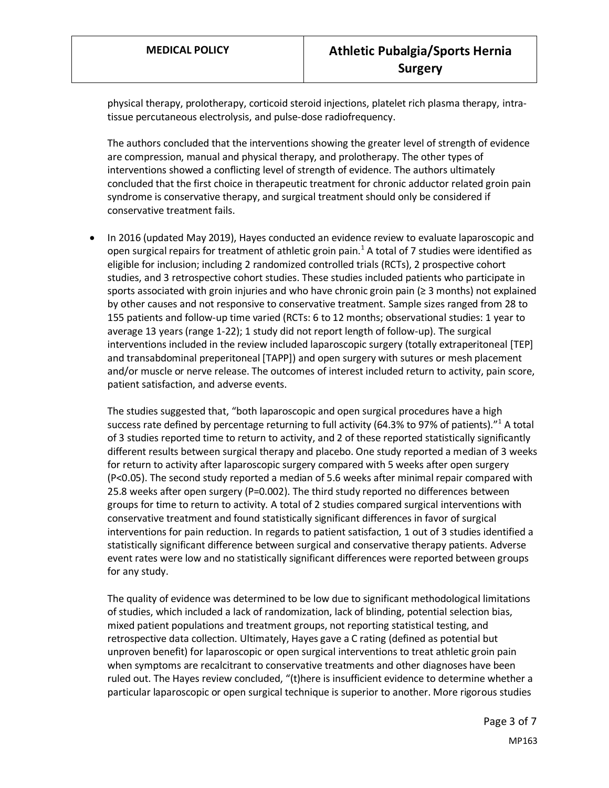physical therapy, prolotherapy, corticoid steroid injections, platelet rich plasma therapy, intratissue percutaneous electrolysis, and pulse-dose radiofrequency.

The authors concluded that the interventions showing the greater level of strength of evidence are compression, manual and physical therapy, and prolotherapy. The other types of interventions showed a conflicting level of strength of evidence. The authors ultimately concluded that the first choice in therapeutic treatment for chronic adductor related groin pain syndrome is conservative therapy, and surgical treatment should only be considered if conservative treatment fails.

• In 2016 (updated May 2019), Hayes conducted an evidence review to evaluate laparoscopic and open surgical repairs for treatment of athletic groin pain.<sup>1</sup> A total of 7 studies were identified as eligible for inclusion; including 2 randomized controlled trials (RCTs), 2 prospective cohort studies, and 3 retrospective cohort studies. These studies included patients who participate in sports associated with groin injuries and who have chronic groin pain (≥ 3 months) not explained by other causes and not responsive to conservative treatment. Sample sizes ranged from 28 to 155 patients and follow-up time varied (RCTs: 6 to 12 months; observational studies: 1 year to average 13 years (range 1-22); 1 study did not report length of follow-up). The surgical interventions included in the review included laparoscopic surgery (totally extraperitoneal [TEP] and transabdominal preperitoneal [TAPP]) and open surgery with sutures or mesh placement and/or muscle or nerve release. The outcomes of interest included return to activity, pain score, patient satisfaction, and adverse events.

The studies suggested that, "both laparoscopic and open surgical procedures have a high success rate defined by percentage returning to full activity (64.3% to 97% of patients). $11$  A total of 3 studies reported time to return to activity, and 2 of these reported statistically significantly different results between surgical therapy and placebo. One study reported a median of 3 weeks for return to activity after laparoscopic surgery compared with 5 weeks after open surgery (P<0.05). The second study reported a median of 5.6 weeks after minimal repair compared with 25.8 weeks after open surgery (P=0.002). The third study reported no differences between groups for time to return to activity. A total of 2 studies compared surgical interventions with conservative treatment and found statistically significant differences in favor of surgical interventions for pain reduction. In regards to patient satisfaction, 1 out of 3 studies identified a statistically significant difference between surgical and conservative therapy patients. Adverse event rates were low and no statistically significant differences were reported between groups for any study.

The quality of evidence was determined to be low due to significant methodological limitations of studies, which included a lack of randomization, lack of blinding, potential selection bias, mixed patient populations and treatment groups, not reporting statistical testing, and retrospective data collection. Ultimately, Hayes gave a C rating (defined as potential but unproven benefit) for laparoscopic or open surgical interventions to treat athletic groin pain when symptoms are recalcitrant to conservative treatments and other diagnoses have been ruled out. The Hayes review concluded, "(t)here is insufficient evidence to determine whether a particular laparoscopic or open surgical technique is superior to another. More rigorous studies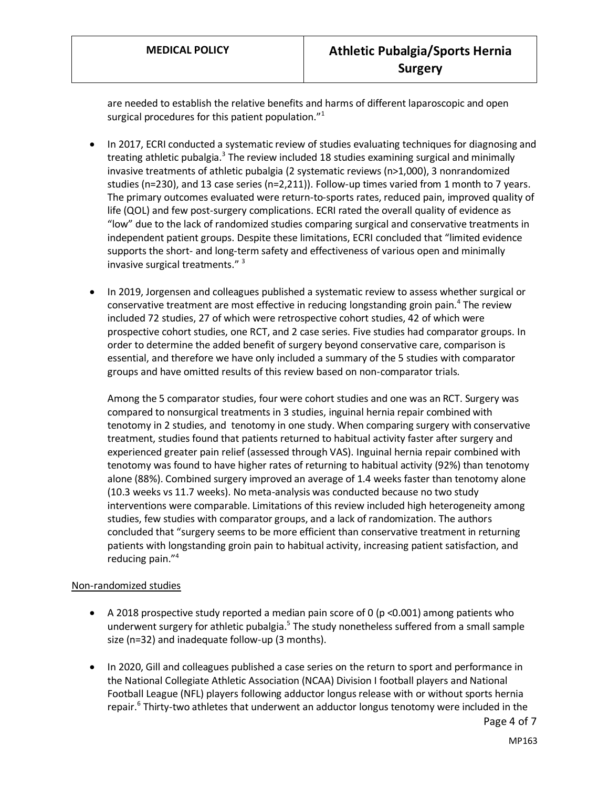are needed to establish the relative benefits and harms of different laparoscopic and open surgical procedures for this patient population."<sup>1</sup>

- In 2017, ECRI conducted a systematic review of studies evaluating techniques for diagnosing and treating athletic pubalgia.<sup>3</sup> The review included 18 studies examining surgical and minimally invasive treatments of athletic pubalgia (2 systematic reviews (n>1,000), 3 nonrandomized studies (n=230), and 13 case series (n=2,211)). Follow-up times varied from 1 month to 7 years. The primary outcomes evaluated were return-to-sports rates, reduced pain, improved quality of life (QOL) and few post-surgery complications. ECRI rated the overall quality of evidence as "low" due to the lack of randomized studies comparing surgical and conservative treatments in independent patient groups. Despite these limitations, ECRI concluded that "limited evidence supports the short- and long-term safety and effectiveness of various open and minimally invasive surgical treatments." <sup>3</sup>
- In 2019, Jorgensen and colleagues published a systematic review to assess whether surgical or conservative treatment are most effective in reducing longstanding groin pain.<sup>4</sup> The review included 72 studies, 27 of which were retrospective cohort studies, 42 of which were prospective cohort studies, one RCT, and 2 case series. Five studies had comparator groups. In order to determine the added benefit of surgery beyond conservative care, comparison is essential, and therefore we have only included a summary of the 5 studies with comparator groups and have omitted results of this review based on non-comparator trials.

Among the 5 comparator studies, four were cohort studies and one was an RCT. Surgery was compared to nonsurgical treatments in 3 studies, inguinal hernia repair combined with tenotomy in 2 studies, and tenotomy in one study. When comparing surgery with conservative treatment, studies found that patients returned to habitual activity faster after surgery and experienced greater pain relief (assessed through VAS). Inguinal hernia repair combined with tenotomy was found to have higher rates of returning to habitual activity (92%) than tenotomy alone (88%). Combined surgery improved an average of 1.4 weeks faster than tenotomy alone (10.3 weeks vs 11.7 weeks). No meta-analysis was conducted because no two study interventions were comparable. Limitations of this review included high heterogeneity among studies, few studies with comparator groups, and a lack of randomization. The authors concluded that "surgery seems to be more efficient than conservative treatment in returning patients with longstanding groin pain to habitual activity, increasing patient satisfaction, and reducing pain."<sup>4</sup>

#### Non-randomized studies

- A 2018 prospective study reported a median pain score of 0 (p <0.001) among patients who underwent surgery for athletic pubalgia.<sup>5</sup> The study nonetheless suffered from a small sample size (n=32) and inadequate follow-up (3 months).
- In 2020, Gill and colleagues published a case series on the return to sport and performance in the National Collegiate Athletic Association (NCAA) Division I football players and National Football League (NFL) players following adductor longus release with or without sports hernia repair.<sup>6</sup> Thirty-two athletes that underwent an adductor longus tenotomy were included in the

Page 4 of 7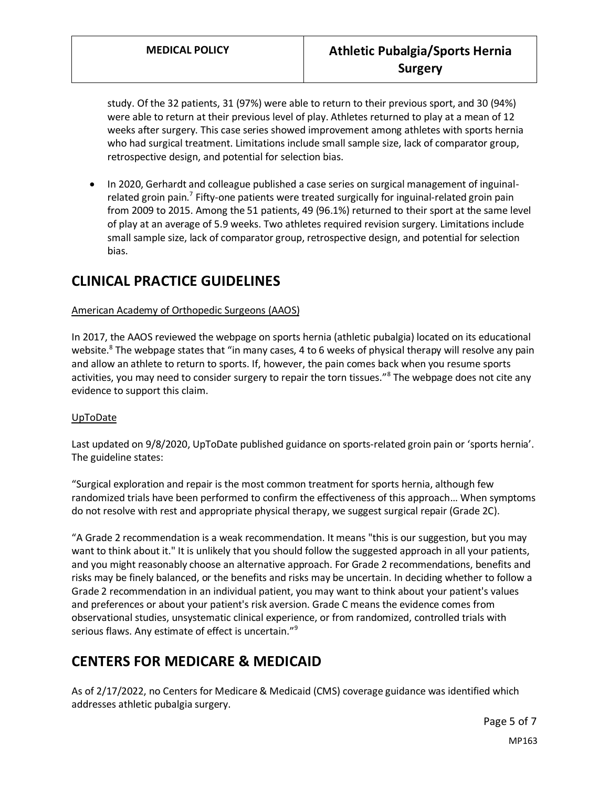study. Of the 32 patients, 31 (97%) were able to return to their previous sport, and 30 (94%) were able to return at their previous level of play. Athletes returned to play at a mean of 12 weeks after surgery. This case series showed improvement among athletes with sports hernia who had surgical treatment. Limitations include small sample size, lack of comparator group, retrospective design, and potential for selection bias.

• In 2020, Gerhardt and colleague published a case series on surgical management of inguinalrelated groin pain.<sup>7</sup> Fifty-one patients were treated surgically for inguinal-related groin pain from 2009 to 2015. Among the 51 patients, 49 (96.1%) returned to their sport at the same level of play at an average of 5.9 weeks. Two athletes required revision surgery. Limitations include small sample size, lack of comparator group, retrospective design, and potential for selection bias.

## **CLINICAL PRACTICE GUIDELINES**

#### American Academy of Orthopedic Surgeons (AAOS)

In 2017, the AAOS reviewed the webpage on sports hernia (athletic pubalgia) located on its educational website.<sup>8</sup> The webpage states that "in many cases, 4 to 6 weeks of physical therapy will resolve any pain and allow an athlete to return to sports. If, however, the pain comes back when you resume sports activities, you may need to consider surgery to repair the torn tissues."<sup>8</sup> The webpage does not cite any evidence to support this claim.

#### UpToDate

Last updated on 9/8/2020, UpToDate published guidance on sports-related groin pain or 'sports hernia'. The guideline states:

"Surgical exploration and repair is the most common treatment for sports hernia, although few randomized trials have been performed to confirm the effectiveness of this approach… When symptoms do not resolve with rest and appropriate physical therapy, we suggest surgical repair (Grade 2C).

"A Grade 2 recommendation is a weak recommendation. It means "this is our suggestion, but you may want to think about it." It is unlikely that you should follow the suggested approach in all your patients, and you might reasonably choose an alternative approach. For Grade 2 recommendations, benefits and risks may be finely balanced, or the benefits and risks may be uncertain. In deciding whether to follow a Grade 2 recommendation in an individual patient, you may want to think about your patient's values and preferences or about your patient's risk aversion. Grade C means the evidence comes from observational studies, unsystematic clinical experience, or from randomized, controlled trials with serious flaws. Any estimate of effect is uncertain."<sup>9</sup>

## **CENTERS FOR MEDICARE & MEDICAID**

As of 2/17/2022, no Centers for Medicare & Medicaid (CMS) coverage guidance was identified which addresses athletic pubalgia surgery.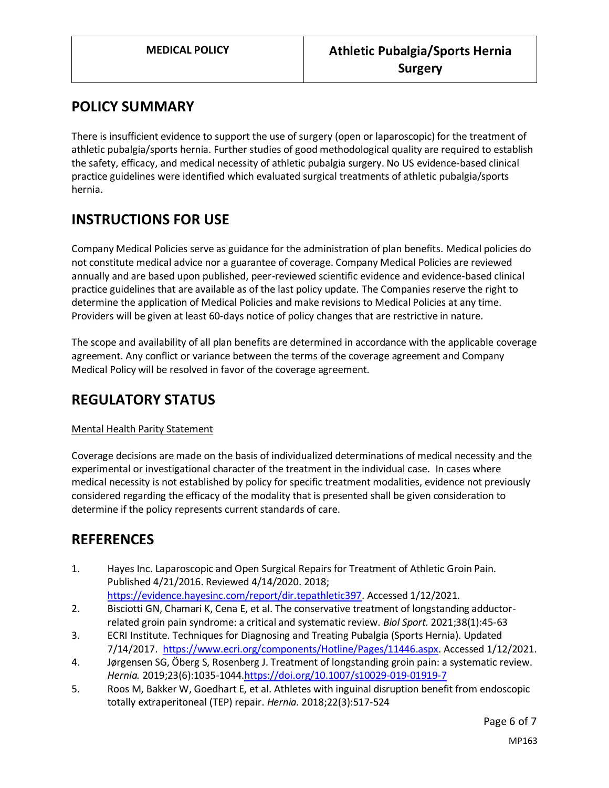## <span id="page-5-0"></span>**POLICY SUMMARY**

There is insufficient evidence to support the use of surgery (open or laparoscopic) for the treatment of athletic pubalgia/sports hernia. Further studies of good methodological quality are required to establish the safety, efficacy, and medical necessity of athletic pubalgia surgery. No US evidence-based clinical practice guidelines were identified which evaluated surgical treatments of athletic pubalgia/sports hernia.

## **INSTRUCTIONS FOR USE**

Company Medical Policies serve as guidance for the administration of plan benefits. Medical policies do not constitute medical advice nor a guarantee of coverage. Company Medical Policies are reviewed annually and are based upon published, peer-reviewed scientific evidence and evidence-based clinical practice guidelines that are available as of the last policy update. The Companies reserve the right to determine the application of Medical Policies and make revisions to Medical Policies at any time. Providers will be given at least 60-days notice of policy changes that are restrictive in nature.

The scope and availability of all plan benefits are determined in accordance with the applicable coverage agreement. Any conflict or variance between the terms of the coverage agreement and Company Medical Policy will be resolved in favor of the coverage agreement.

## **REGULATORY STATUS**

### Mental Health Parity Statement

Coverage decisions are made on the basis of individualized determinations of medical necessity and the experimental or investigational character of the treatment in the individual case. In cases where medical necessity is not established by policy for specific treatment modalities, evidence not previously considered regarding the efficacy of the modality that is presented shall be given consideration to determine if the policy represents current standards of care.

## **REFERENCES**

- 1. Hayes Inc. Laparoscopic and Open Surgical Repairs for Treatment of Athletic Groin Pain. Published 4/21/2016. Reviewed 4/14/2020. 2018; [https://evidence.hayesinc.com/report/dir.tepathletic397.](https://evidence.hayesinc.com/report/dir.tepathletic397) Accessed 1/12/2021.
- 2. Bisciotti GN, Chamari K, Cena E, et al. The conservative treatment of longstanding adductorrelated groin pain syndrome: a critical and systematic review. *Biol Sport.* 2021;38(1):45-63
- 3. ECRI Institute. Techniques for Diagnosing and Treating Pubalgia (Sports Hernia). Updated 7/14/2017. [https://www.ecri.org/components/Hotline/Pages/11446.aspx.](https://www.ecri.org/components/Hotline/Pages/11446.aspx) Accessed 1/12/2021.
- 4. Jørgensen SG, Öberg S, Rosenberg J. Treatment of longstanding groin pain: a systematic review. *Hernia.* 2019;23(6):1035-104[4.https://doi.org/10.1007/s10029-019-01919-7](https://doi.org/10.1007/s10029-019-01919-7)
- 5. Roos M, Bakker W, Goedhart E, et al. Athletes with inguinal disruption benefit from endoscopic totally extraperitoneal (TEP) repair. *Hernia.* 2018;22(3):517-524